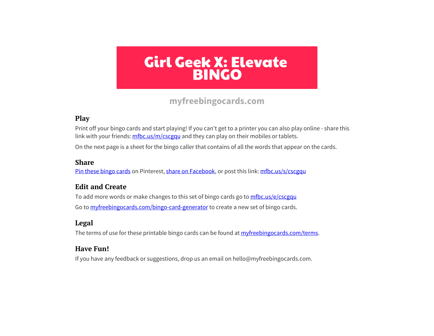**[myfreebingocards.com](https://myfreebingocards.com/)**

#### **Play**

Print off your bingo cards and start playing! If you can't get to a printer you can also play online - share this link with your friends:  $m\frac{f}{c}$ ,  $m\frac{c \cdot g}{c \cdot g}$  and they can play on their mobiles or tablets.

On the next page is a sheet for the bingo caller that contains of all the words that appear on the cards.

#### **Share**

<u>Pin these bingo cards</u> on Pinterest, <u>share on Facebook</u>, or post this link: <u>[mfbc.us/s/cscgqu](https://mfbc.us/s/cscgqu)</u>

#### **Edit and Create**

To add more words or make changes to this set of bingo cards go to <u>mfbc.us/e/csc<mark>gq</mark>u</u> Go to myfreebingocards.com/bingo-card-generator to create a new set of bingo cards.

#### **Legal**

The terms of use for these printable bingo cards can be found at *[myfreebingocards.com/terms](https://myfreebingocards.com/terms)*.

#### **Have Fun!**

If you have any feedback or suggestions, drop us an email on hello@myfreebingocards.com.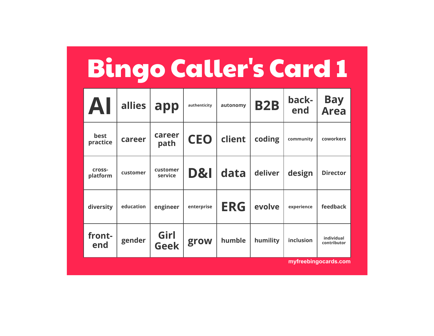| <b>Bingo Caller's Card 1</b> |           |                     |                |            |            |              |                           |
|------------------------------|-----------|---------------------|----------------|------------|------------|--------------|---------------------------|
| AI                           | allies    | app                 | authenticity   | autonomy   | <b>B2B</b> | back-<br>end | <b>Bay</b><br><b>Area</b> |
| best<br>practice             | career    | career<br>path      | <b>CEO</b>     | client     | coding     | community    | coworkers                 |
| cross-<br>platform           | customer  | customer<br>service | <b>D&amp;I</b> | data       | deliver    | design       | <b>Director</b>           |
| diversity                    | education | engineer            | enterprise     | <b>ERG</b> | evolve     | experience   | feedback                  |
| front-<br>end                | gender    | Girl<br><b>Geek</b> | grow           | humble     | humility   | inclusion    | individual<br>contributor |
|                              |           |                     |                |            |            |              | myfreebingocards.com      |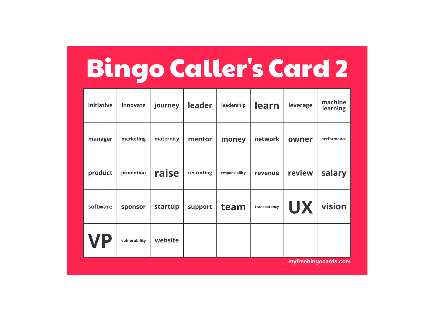# Bingo Caller's Card 2

| initiative           | innovate      | journey   | leader     | leadership     | learn        | leverage  | machine<br>learning |
|----------------------|---------------|-----------|------------|----------------|--------------|-----------|---------------------|
| manager              | marketing     | maternity | mentor     | money          | network      | owner     | performance         |
| product              | promotion     | raise     | recruiting | responsibility | revenue      | review    | salary              |
| software             | sponsor       | startup   | support    | team           | transparency | <b>UX</b> | vision              |
| VP                   | vulnerability | website   |            |                |              |           |                     |
| myfreebingocards.com |               |           |            |                |              |           |                     |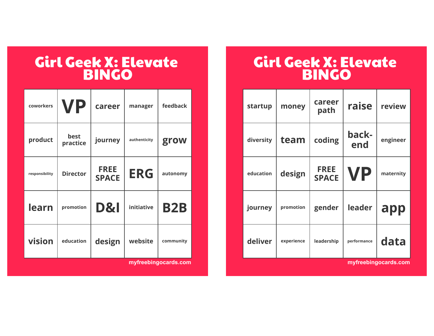| coworkers      | <b>VP</b>        | career                      | manager      | feedback   |
|----------------|------------------|-----------------------------|--------------|------------|
| product        | best<br>practice | journey                     | authenticity | grow       |
| responsibility | <b>Director</b>  | <b>FREE</b><br><b>SPACE</b> | <b>ERG</b>   | autonomy   |
| learn          | promotion        | <b>D&amp;I</b>              | initiative   | <b>B2B</b> |
| vision         | education        | design                      | website      | community  |

**[myfreebingocards.com](https://myfreebingocards.com/)**

### Girl Geek X: Elevate BINGO

| startup   | money      | career<br>path              | raise        | review    |
|-----------|------------|-----------------------------|--------------|-----------|
| diversity | team       | coding                      | back-<br>end | engineer  |
| education | design     | <b>FREE</b><br><b>SPACE</b> | <b>VP</b>    | maternity |
| journey   | promotion  | gender                      | leader       | app       |
| deliver   | experience | leadership                  | performance  | data      |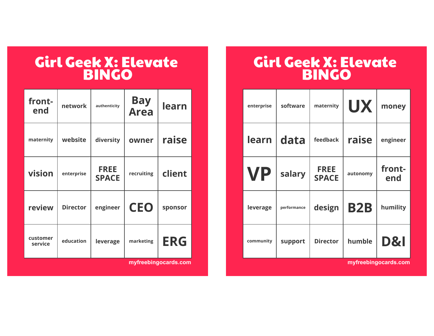| front-<br>end       | network         | authenticity                | <b>Bay</b><br><b>Area</b> | learn      |
|---------------------|-----------------|-----------------------------|---------------------------|------------|
| maternity           | website         | diversity                   | owner                     | raise      |
| vision              | enterprise      | <b>FREE</b><br><b>SPACE</b> | recruiting                | client     |
| review              | <b>Director</b> | engineer                    | <b>CEO</b>                | sponsor    |
| customer<br>service | education       | leverage                    | marketing                 | <b>ERG</b> |

**[myfreebingocards.com](https://myfreebingocards.com/)**

| enterprise | software    | maternity                   | <b>UX</b>  | money          |
|------------|-------------|-----------------------------|------------|----------------|
| learn      | data        | feedback                    | raise      | engineer       |
| <b>VP</b>  | salary      | <b>FREE</b><br><b>SPACE</b> | autonomy   | front-<br>end  |
| leverage   | performance | design                      | <b>B2B</b> | humility       |
| community  | support     | <b>Director</b>             | humble     | <b>D&amp;I</b> |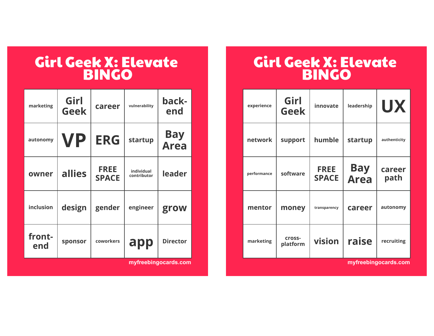| marketing     | Girl<br><b>Geek</b> | career                      | vulnerability             | back-<br>end              |
|---------------|---------------------|-----------------------------|---------------------------|---------------------------|
| autonomy      | VP                  | <b>ERG</b>                  | startup                   | <b>Bay</b><br><b>Area</b> |
| owner         | <b>allies</b>       | <b>FREE</b><br><b>SPACE</b> | individual<br>contributor | leader                    |
| inclusion     | design              | gender                      | engineer                  | grow                      |
| front-<br>end | sponsor             | coworkers                   | app                       | <b>Director</b>           |

**[myfreebingocards.com](https://myfreebingocards.com/)**

| experience  | Girl<br><b>Geek</b> | innovate                    | leadership                | <b>UX</b>            |
|-------------|---------------------|-----------------------------|---------------------------|----------------------|
| network     | support             | humble                      | startup                   | authenticity         |
| performance | software            | <b>FREE</b><br><b>SPACE</b> | <b>Bay</b><br><b>Area</b> | career<br>path       |
| mentor      | money               | transparency                | career                    | autonomy             |
| marketing   | cross-<br>platform  | vision                      | raise                     | recruiting           |
|             |                     |                             |                           | myfreebingocards.com |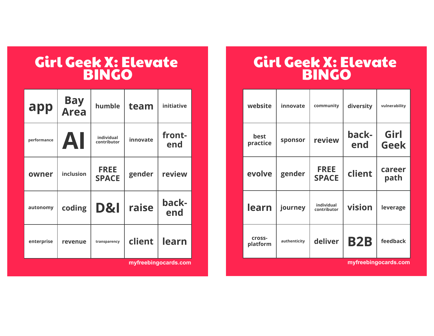| app         | <b>Bay<br/>Area</b> | humble                      | team     | <b>initiative</b> |
|-------------|---------------------|-----------------------------|----------|-------------------|
| performance | AI                  | individual<br>contributor   | innovate | front-<br>end     |
| owner       | inclusion           | <b>FREE</b><br><b>SPACE</b> | gender   | review            |
| autonomy    | coding              | <b>D&amp;I</b>              | raise    | back-<br>end      |
| enterprise  | revenue             | transparency                | client   | learn             |

**[myfreebingocards.com](https://myfreebingocards.com/)**

| website                   | innovate     | community                   | diversity    | vulnerability        |
|---------------------------|--------------|-----------------------------|--------------|----------------------|
| best<br>practice          | sponsor      | review                      | back-<br>end | Girl<br><b>Geek</b>  |
| evolve                    | gender       | <b>FREE</b><br><b>SPACE</b> | client       | career<br>path       |
| learn                     | journey      | individual<br>contributor   | vision       | leverage             |
| <b>Cross-</b><br>platform | authenticity | deliver                     | <b>B2B</b>   | feedback             |
|                           |              |                             |              | myfreebingocards.com |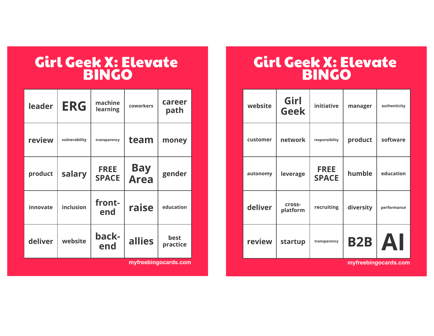| leader   | <b>ERG</b>    | machine<br>learning         | coworkers                 | career<br>path   |
|----------|---------------|-----------------------------|---------------------------|------------------|
| review   | vulnerability | transparency                | team                      | money            |
| product  | salary        | <b>FREE</b><br><b>SPACE</b> | <b>Bay</b><br><b>Area</b> | gender           |
| innovate | inclusion     | front-<br>end               | raise                     | education        |
| deliver  | website       | back-<br>end                | allies                    | best<br>practice |

**[myfreebingocards.com](https://myfreebingocards.com/)**

### Girl Geek X: Elevate BINGO

| website  | Girl<br><b>Geek</b> | initiative                  | manager    | authenticity |
|----------|---------------------|-----------------------------|------------|--------------|
| customer | network             | responsibility              | product    | software     |
| autonomy | leverage            | <b>FREE</b><br><b>SPACE</b> | humble     | education    |
| deliver  | cross-<br>platform  | recruiting                  | diversity  | performance  |
| review   | startup             | transparency                | <b>B2B</b> | AI           |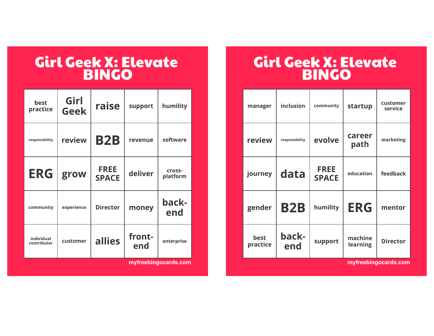| best<br>practice          | Girl<br><b>Geek</b> | raise                       | support       | humility           |
|---------------------------|---------------------|-----------------------------|---------------|--------------------|
| responsibility            | review              | <b>B2B</b>                  | revenue       | software           |
| <b>ERG</b>                | grow                | <b>FREE</b><br><b>SPACE</b> | deliver       | cross-<br>platform |
| community                 | experience          | <b>Director</b>             | money         | back-<br>end       |
| individual<br>contributor | customer            | allies                      | front-<br>end | enterprise         |

**[myfreebingocards.com](https://myfreebingocards.com/)**

| inclusion      | community                   | startup             | customer<br>service  |
|----------------|-----------------------------|---------------------|----------------------|
| responsibility | evolve                      | career<br>path      | marketing            |
| data           | <b>FREE</b><br><b>SPACE</b> | education           | feedback             |
| <b>B2B</b>     | humility                    | <b>ERG</b>          | mentor               |
| back-<br>end   | support                     | machine<br>learning | <b>Director</b>      |
|                |                             |                     | mvfreebingocards.com |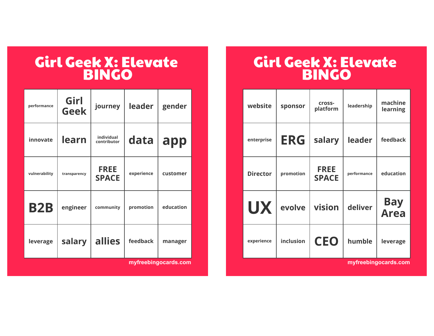| performance   | Girl<br><b>Geek</b> | journey                     | leader     | gender    |
|---------------|---------------------|-----------------------------|------------|-----------|
| innovate      | learn               | individual<br>contributor   | data       | app       |
| vulnerability | transparency        | <b>FREE</b><br><b>SPACE</b> | experience | customer  |
| <b>B2B</b>    | engineer            | community                   | promotion  | education |
| leverage      | salary              | allies                      | feedback   | manager   |

**[myfreebingocards.com](https://myfreebingocards.com/)**

| website              | sponsor    | cross-<br>platform          | leadership  | machine<br>learning |
|----------------------|------------|-----------------------------|-------------|---------------------|
| enterprise           | <b>ERG</b> | salary                      | leader      | feedback            |
| <b>Director</b>      | promotion  | <b>FREE</b><br><b>SPACE</b> | performance | education           |
| <b>UX</b>            | evolve     | vision                      | deliver     | <b>Bay<br/>Area</b> |
| experience           | inclusion  | <b>CEO</b>                  | humble      | leverage            |
| myfreebingocards.com |            |                             |             |                     |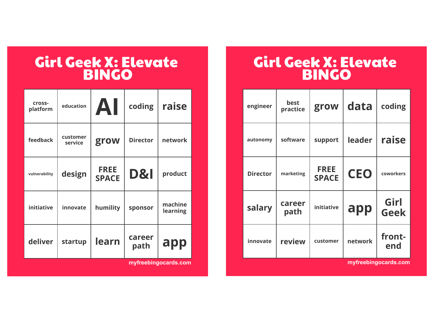| <b>Cross-</b><br>platform | education           | AI                          | coding          | raise               |
|---------------------------|---------------------|-----------------------------|-----------------|---------------------|
| feedback                  | customer<br>service | grow                        | <b>Director</b> | network             |
| vulnerability             | design              | <b>FREE</b><br><b>SPACE</b> | D&I             | product             |
| initiative                | innovate            | humility                    | sponsor         | machine<br>learning |
| deliver                   | startup             | learn                       | career<br>path  | app                 |

**[myfreebingocards.com](https://myfreebingocards.com/)**

## Girl Geek X: Elevate BINGO

| engineer        | best<br>practice | grow                        | data       | coding              |
|-----------------|------------------|-----------------------------|------------|---------------------|
| autonomy        | software         | support                     | leader     | raise               |
| <b>Director</b> | marketing        | <b>FREE</b><br><b>SPACE</b> | <b>CEO</b> | coworkers           |
| salary          | career<br>path   | initiative                  | app        | Girl<br><b>Geek</b> |
| innovate        | review           | customer                    | network    | front-<br>end       |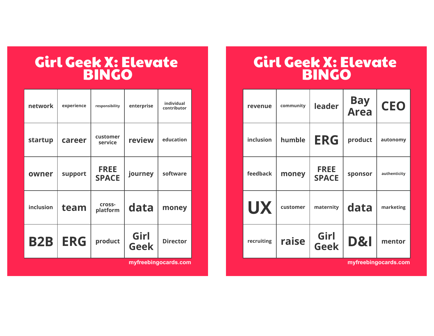| network    | experience | responsibility              | enterprise          | individual<br>contributor |
|------------|------------|-----------------------------|---------------------|---------------------------|
| startup    | career     | customer<br>service         | review              | education                 |
| owner      | support    | <b>FREE</b><br><b>SPACE</b> | journey             | software                  |
| inclusion  | team       | cross-<br>platform          | data                | money                     |
| <b>B2B</b> | <b>ERG</b> | product                     | Girl<br><b>Geek</b> | <b>Director</b>           |

**[myfreebingocards.com](https://myfreebingocards.com/)**

| revenue    | community | leader                      | <b>Bay<br/>Area</b> | <b>CEO</b>   |
|------------|-----------|-----------------------------|---------------------|--------------|
| inclusion  | humble    | <b>ERG</b>                  | product             | autonomy     |
| feedback   | money     | <b>FREE</b><br><b>SPACE</b> | sponsor             | authenticity |
| <b>UX</b>  | customer  | maternity                   | data                | marketing    |
| recruiting | raise     | Girl<br><b>Geek</b>         | <b>D&amp;I</b>      | mentor       |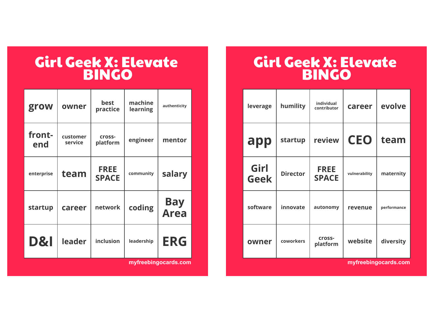| grow           | owner               | best<br>practice            | machine<br>learning | authenticity              |
|----------------|---------------------|-----------------------------|---------------------|---------------------------|
| front-<br>end  | customer<br>service | cross-<br>platform          | engineer            | mentor                    |
| enterprise     | team                | <b>FREE</b><br><b>SPACE</b> | community           | salary                    |
| startup        | career              | network                     | coding              | <b>Bay</b><br><b>Area</b> |
| <b>D&amp;I</b> | leader              | inclusion                   | leadership          | <b>ERG</b>                |

**[myfreebingocards.com](https://myfreebingocards.com/)**

| humility        | individual<br>contributor   | career        | evolve               |
|-----------------|-----------------------------|---------------|----------------------|
| startup         | review                      | <b>CEO</b>    | team                 |
| <b>Director</b> | <b>FREE</b><br><b>SPACE</b> | vulnerability | maternity            |
| innovate        | autonomy                    | revenue       | performance          |
| coworkers       | cross-<br>platform          | website       | diversity            |
|                 |                             |               | myfreebingocards.com |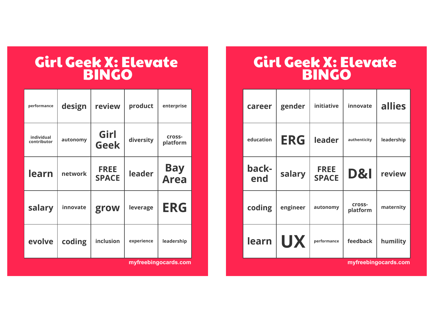| performance               | design   | review                      | product    | enterprise                |
|---------------------------|----------|-----------------------------|------------|---------------------------|
| individual<br>contributor | autonomy | Girl<br><b>Geek</b>         | diversity  | cross-<br>platform        |
| learn                     | network  | <b>FREE</b><br><b>SPACE</b> | leader     | <b>Bay</b><br><b>Area</b> |
| salary                    | innovate | grow                        | leverage   | <b>ERG</b>                |
| evolve                    | coding   | inclusion                   | experience | leadership                |

**[myfreebingocards.com](https://myfreebingocards.com/)**

| career               | gender     | initiative                  | innovate           | allies     |
|----------------------|------------|-----------------------------|--------------------|------------|
| education            | <b>ERG</b> | leader                      | authenticity       | leadership |
| back-<br>end         | salary     | <b>FREE</b><br><b>SPACE</b> | <b>D&amp;I</b>     | review     |
| coding               | engineer   | autonomy                    | cross-<br>platform | maternity  |
| learn                | <b>UX</b>  | performance                 | feedback           | humility   |
| myfreebingocards.com |            |                             |                    |            |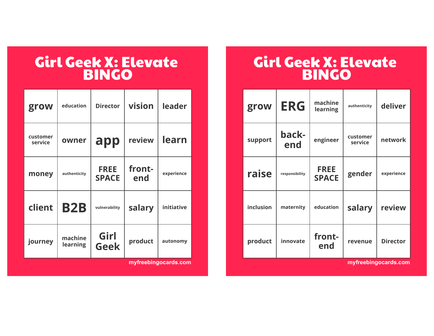| grow                | education           | <b>Director</b>             | vision        | leader     |
|---------------------|---------------------|-----------------------------|---------------|------------|
| customer<br>service | owner               | app                         | review        | learn      |
| money               | authenticity        | <b>FREE</b><br><b>SPACE</b> | front-<br>end | experience |
| client              | <b>B2B</b>          | vulnerability               | salary        | initiative |
| journey             | machine<br>learning | Girl<br><b>Geek</b>         | product       | autonomy   |

**[myfreebingocards.com](https://myfreebingocards.com/)**

## Girl Geek X: Elevate BINGO

| grow      | <b>ERG</b>     | machine<br>learning         | authenticity        | deliver         |
|-----------|----------------|-----------------------------|---------------------|-----------------|
| support   | back-<br>end   | engineer                    | customer<br>service | network         |
| raise     | responsibility | <b>FREE</b><br><b>SPACE</b> | gender              | experience      |
| inclusion | maternity      | education                   | salary              | review          |
| product   | innovate       | front-<br>end               | revenue             | <b>Director</b> |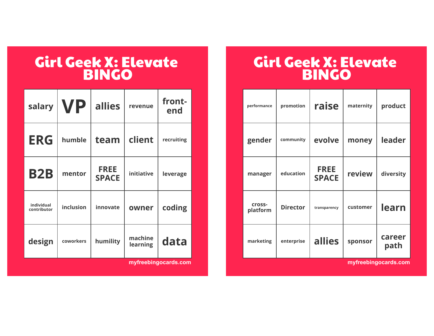| salary                    | <b>VP</b> | allies                      | revenue             | front-<br>end |
|---------------------------|-----------|-----------------------------|---------------------|---------------|
| <b>ERG</b>                | humble    | team                        | client              | recruiting    |
| <b>B2B</b>                | mentor    | <b>FREE</b><br><b>SPACE</b> | initiative          | leverage      |
| individual<br>contributor | inclusion | innovate                    | owner               | coding        |
| design                    | coworkers | humility                    | machine<br>learning | data          |

**[myfreebingocards.com](https://myfreebingocards.com/)**

| promotion       | raise                       | maternity | product              |
|-----------------|-----------------------------|-----------|----------------------|
| community       | evolve                      | money     | leader               |
| education       | <b>FREE</b><br><b>SPACE</b> | review    | diversity            |
| <b>Director</b> | transparency                | customer  | learn                |
| enterprise      | allies                      | sponsor   | career<br>path       |
|                 |                             |           | myfreebingocards.com |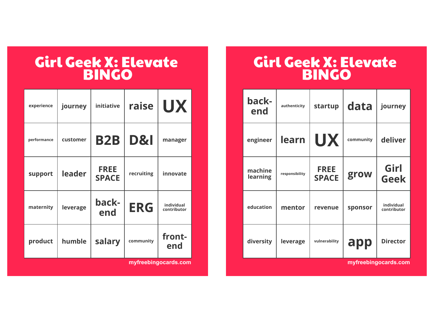| experience  | journey  | initiative                  | raise          | <b>UX</b>                 |
|-------------|----------|-----------------------------|----------------|---------------------------|
| performance | customer | <b>B2B</b>                  | <b>D&amp;I</b> | manager                   |
| support     | leader   | <b>FREE</b><br><b>SPACE</b> | recruiting     | innovate                  |
| maternity   | leverage | back-<br>end                | <b>ERG</b>     | individual<br>contributor |
| product     | humble   | salary                      | community      | front-<br>end             |

**[myfreebingocards.com](https://myfreebingocards.com/)**

| back-<br>end        | authenticity   | startup                     | data      | journey                   |
|---------------------|----------------|-----------------------------|-----------|---------------------------|
| engineer            | learn          | <b>UX</b>                   | community | deliver                   |
| machine<br>learning | responsibility | <b>FREE</b><br><b>SPACE</b> | grow      | Girl<br><b>Geek</b>       |
| education           | mentor         | revenue                     | sponsor   | individual<br>contributor |
| diversity           | leverage       | vulnerability               | app       | <b>Director</b>           |